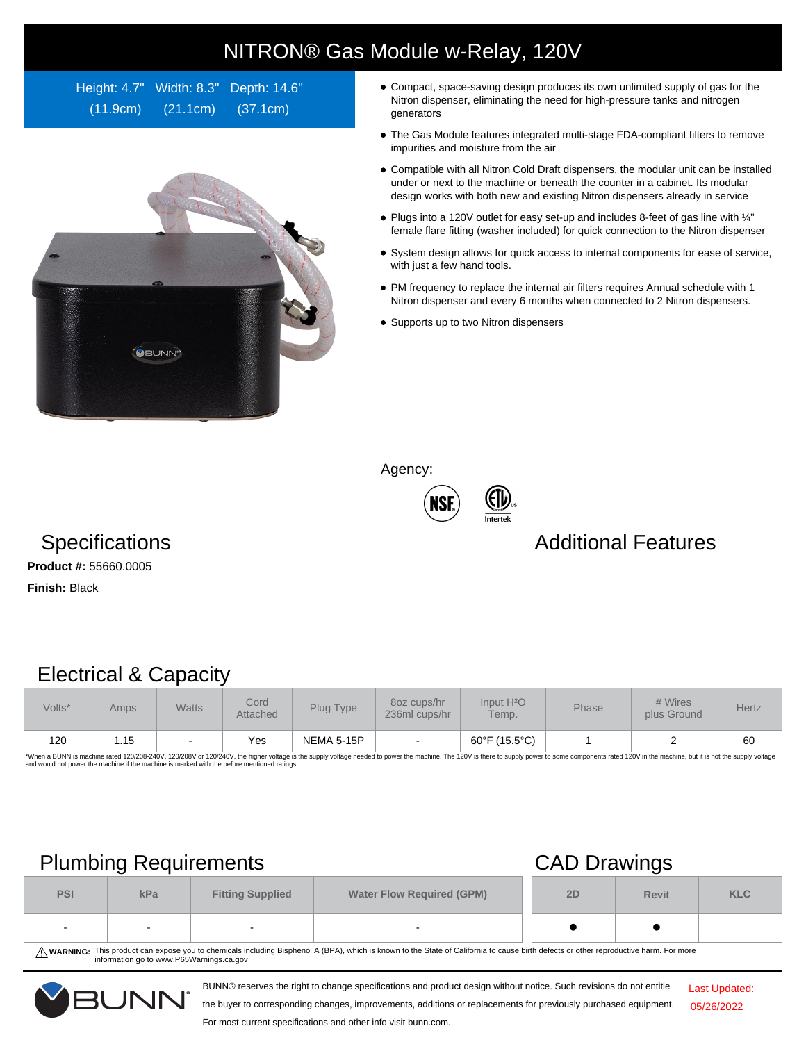## NITRON® Gas Module w-Relay, 120V

Height: 4.7" Width: 8.3" Depth: 14.6" (11.9cm) (21.1cm) (37.1cm)



- Compact, space-saving design produces its own unlimited supply of gas for the Nitron dispenser, eliminating the need for high-pressure tanks and nitrogen generators
- The Gas Module features integrated multi-stage FDA-compliant filters to remove impurities and moisture from the air
- Compatible with all Nitron Cold Draft dispensers, the modular unit can be installed under or next to the machine or beneath the counter in a cabinet. Its modular design works with both new and existing Nitron dispensers already in service
- Plugs into a 120V outlet for easy set-up and includes 8-feet of gas line with ¼" female flare fitting (washer included) for quick connection to the Nitron dispenser
- System design allows for quick access to internal components for ease of service, with just a few hand tools.
- PM frequency to replace the internal air filters requires Annual schedule with 1 Nitron dispenser and every 6 months when connected to 2 Nitron dispensers.
- Supports up to two Nitron dispensers

Agency:





### Specifications **Additional Features** Additional Features

**Product #:** 55660.0005

**Finish:** Black

### Electrical & Capacity

| Volts* | Amps | <b>Watts</b>             | Cord<br><b>Attached</b> | Plug Type         | 80z cups/hr<br>236ml cups/hr | Input H <sup>2</sup> O<br>Temp. | <b>Phase</b> | # Wires<br>plus Ground | Hertz |
|--------|------|--------------------------|-------------------------|-------------------|------------------------------|---------------------------------|--------------|------------------------|-------|
| 120    | 1.15 | $\overline{\phantom{a}}$ | Yes                     | <b>NEMA 5-15P</b> | $\overline{\phantom{a}}$     | 60°F (15.5°C)                   |              |                        | 60    |

\*When a BUNN is machine rated 120/208-240V, 120/208V or 120/240V, the higher voltage is the supply voltage needed to power the machine. The 120V is there to supply power to some components rated 120V in the machine, but it

# Plumbing Requirements CAD Drawings

|            | $\sim$ |                                                             | $\sim$ |    |              |            |
|------------|--------|-------------------------------------------------------------|--------|----|--------------|------------|
| <b>PSI</b> | kPa    | <b>Water Flow Required (GPM)</b><br><b>Fitting Supplied</b> |        | 2D | <b>Revit</b> | <b>KLC</b> |
| . .        |        |                                                             | $\sim$ |    |              |            |

WARNING: This product can expose you to chemicals including Bisphenol A (BPA), which is known to the State of California to cause birth defects or other reproductive harm. For more<br>information go to www.P65Warnings.ca.gov

BUNN® reserves the right to change specifications and product design without notice. Such revisions do not entitle



the buyer to corresponding changes, improvements, additions or replacements for previously purchased equipment. For most current specifications and other info visit bunn.com.

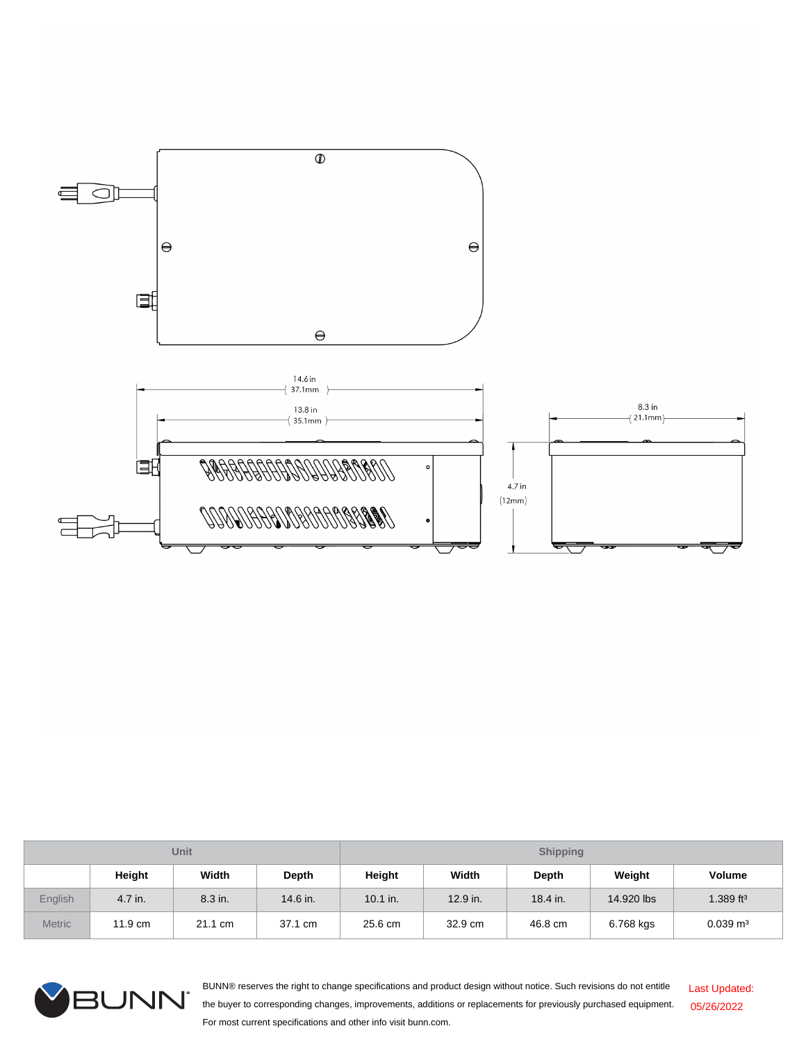

| Unit          |                   |         |          | <b>Shipping</b> |          |          |            |                       |  |
|---------------|-------------------|---------|----------|-----------------|----------|----------|------------|-----------------------|--|
|               | Height            | Width   | Depth    | Height          | Width    | Depth    | Weight     | <b>Volume</b>         |  |
| English       | 4.7 in.           | 8.3 in. | 14.6 in. | $10.1$ in.      | 12.9 in. | 18.4 in. | 14.920 lbs | 1.389 ft <sup>3</sup> |  |
| <b>Metric</b> | $11.9 \text{ cm}$ | 21.1 cm | 37.1 cm  | 25.6 cm         | 32.9 cm  | 46.8 cm  | 6.768 kgs  | $0.039 \text{ m}^3$   |  |



BUNN® reserves the right to change specifications and product design without notice. Such revisions do not entitle the buyer to corresponding changes, improvements, additions or replacements for previously purchased equipment. For most current specifications and other info visit bunn.com. Last Updated: 05/26/2022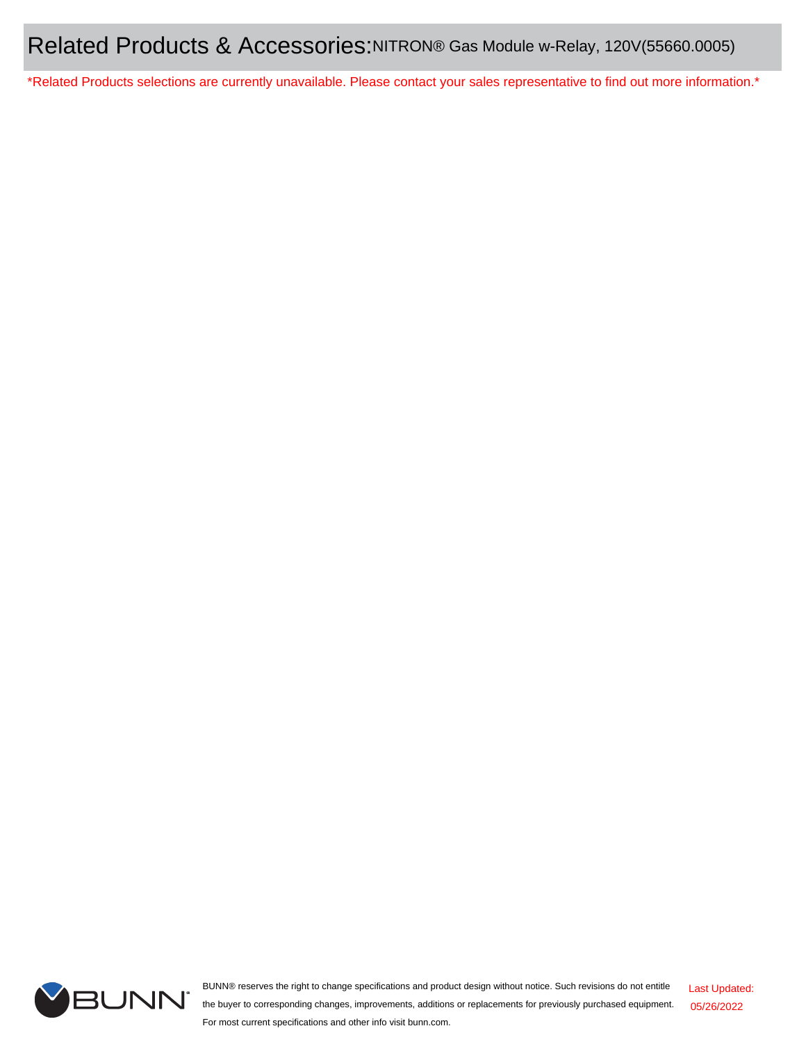\*Related Products selections are currently unavailable. Please contact your sales representative to find out more information.\*



BUNN® reserves the right to change specifications and product design without notice. Such revisions do not entitle the buyer to corresponding changes, improvements, additions or replacements for previously purchased equipment. For most current specifications and other info visit bunn.com. Last Updated: 05/26/2022